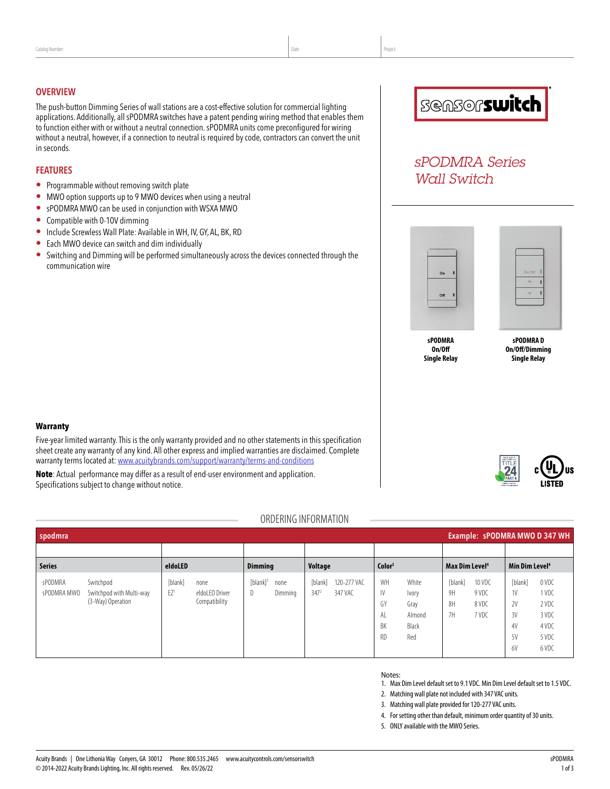#### **OVERVIEW**

The push-button Dimming Series of wall stations are a cost-effective solution for commercial lighting applications. Additionally, all sPODMRA switches have a patent pending wiring method that enables them to function either with or without a neutral connection. sPODMRA units come preconfigured for wiring without a neutral, however, if a connection to neutral is required by code, contractors can convert the unit in seconds.

#### **FEATURES**

- Programmable without removing switch plate
- MWO option supports up to 9 MWO devices when using a neutral
- sPODMRA MWO can be used in conjunction with WSXA MWO
- Compatible with 0-10V dimming
- Include Screwless Wall Plate: Available in WH, IV, GY, AL, BK, RD
- Each MWO device can switch and dim individually
- Switching and Dimming will be performed simultaneously across the devices connected through the communication wire



# *sPODMRA Series Wall Switch*



| On/Off      |  |
|-------------|--|
| $\triangle$ |  |
|             |  |

**sPODMRA On/Off Single Relay**

**sPODMRA D On/Off/Dimming Single Relay**

### **Warranty**

Five-year limited warranty. This is the only warranty provided and no other statements in this specification sheet create any warranty of any kind. All other express and implied warranties are disclaimed. Complete warranty terms located at: [www.acuitybrands.com/support/warranty/terms-and-conditions](http://www.acuitybrands.com/support/warranty/terms-and-conditions)

**Note**: Actual performance may differ as a result of end-user environment and application. Specifications subject to change without notice.

# ORDERING INFORMATION

| Example: sPODMRA MWO D 347 WH<br>spodmra |                                                            |                            |                                         |                        |                 |                             |                        |                                  |                                                  |                            |                                   |                                             |                                                             |
|------------------------------------------|------------------------------------------------------------|----------------------------|-----------------------------------------|------------------------|-----------------|-----------------------------|------------------------|----------------------------------|--------------------------------------------------|----------------------------|-----------------------------------|---------------------------------------------|-------------------------------------------------------------|
|                                          |                                                            |                            |                                         |                        |                 |                             |                        |                                  |                                                  |                            |                                   |                                             |                                                             |
| <b>Series</b>                            |                                                            | eldoLED                    |                                         | <b>Dimming</b>         |                 | Voltage                     |                        | Color <sup>3</sup>               |                                                  | Max Dim Level <sup>4</sup> |                                   | Min Dim Level <sup>4</sup>                  |                                                             |
| sPODMRA<br>sPODMRA MWO                   | Switchpod<br>Switchpod with Multi-way<br>(3-Way) Operation | [blank]<br>EZ <sup>1</sup> | none<br>eldoLED Driver<br>Compatibility | $[b$ lank $]^{5}$<br>D | none<br>Dimming | [blank]<br>347 <sup>2</sup> | 120-277 VAC<br>347 VAC | WH<br>IV<br>GY<br>AL<br>BK<br>RD | White<br>Ivory<br>Gray<br>Almond<br>Black<br>Red | [blank]<br>9H<br>8H<br>7H  | 10 VDC<br>9 VDC<br>8 VDC<br>7 VDC | [blank]<br>1V<br>2V<br>3V<br>4V<br>5V<br>6V | 0 VDC<br>1 VDC<br>2 VDC<br>3 VDC<br>4 VDC<br>5 VDC<br>6 VDC |

#### Notes:

- 1. Max Dim Level default set to 9.1 VDC. Min Dim Level default set to 1.5 VDC.
- 2. Matching wall plate not included with 347 VAC units.
- 3. Matching wall plate provided for 120-277 VAC units.
- 4. For setting other than default, minimum order quantity of 30 units.
- 5. ONLY available with the MWO Series.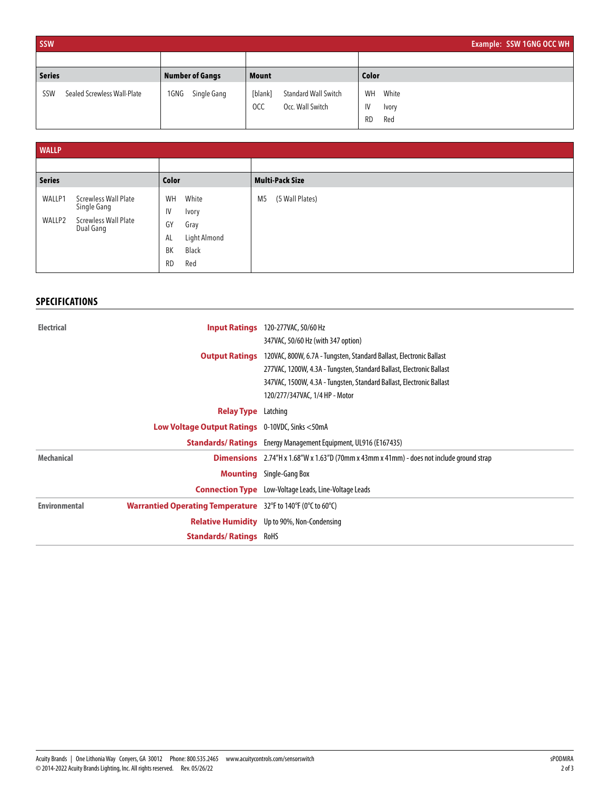| <b>SSW</b>                         |                     |                                                                   | Example: SSW 1GNG OCC WH                       |
|------------------------------------|---------------------|-------------------------------------------------------------------|------------------------------------------------|
|                                    |                     |                                                                   |                                                |
| <b>Series</b>                      | Number of Gangs     | <b>Mount</b>                                                      | Color                                          |
| Sealed Screwless Wall-Plate<br>SSW | Single Gang<br>1GNG | [blank]<br>Standard Wall Switch<br><b>OCC</b><br>Occ. Wall Switch | White<br>WH<br>IV<br>Ivory<br><b>RD</b><br>Red |

| <b>WALLP</b>     |                                                                                 |                                                                                                   |                                   |
|------------------|---------------------------------------------------------------------------------|---------------------------------------------------------------------------------------------------|-----------------------------------|
|                  |                                                                                 |                                                                                                   |                                   |
| <b>Series</b>    |                                                                                 | Color                                                                                             | <b>Multi-Pack Size</b>            |
| WALLP1<br>WALLP2 | <b>Screwless Wall Plate</b><br>Single Gang<br>Screwless Wall Plate<br>Dual Gang | White<br>WH<br>IV<br>Ivory<br>GY<br>Gray<br>Light Almond<br>AL<br>Black<br>ВK<br><b>RD</b><br>Red | (5 Wall Plates)<br>M <sub>5</sub> |

# **SPECIFICATIONS**

| <b>Electrical</b><br><b>Input Ratings</b> |                                                                                                     | 120-277VAC, 50/60 Hz                                                                                                    |
|-------------------------------------------|-----------------------------------------------------------------------------------------------------|-------------------------------------------------------------------------------------------------------------------------|
|                                           |                                                                                                     | 347VAC, 50/60 Hz (with 347 option)                                                                                      |
|                                           | <b>Output Ratings</b>                                                                               | 120VAC, 800W, 6.7A - Tungsten, Standard Ballast, Electronic Ballast                                                     |
|                                           |                                                                                                     | 277VAC, 1200W, 4.3A - Tungsten, Standard Ballast, Electronic Ballast                                                    |
|                                           |                                                                                                     | 347VAC, 1500W, 4.3A - Tungsten, Standard Ballast, Electronic Ballast                                                    |
|                                           |                                                                                                     | 120/277/347VAC, 1/4 HP - Motor                                                                                          |
|                                           | <b>Relay Type</b> Latching                                                                          |                                                                                                                         |
|                                           | <b>Low Voltage Output Ratings</b> 0-10VDC, Sinks <50mA                                              |                                                                                                                         |
|                                           |                                                                                                     | <b>Standards/Ratings</b> Energy Management Equipment, UL916 (E167435)                                                   |
| <b>Mechanical</b>                         |                                                                                                     | <b>Dimensions</b> $2.74''H \times 1.68''W \times 1.63''D(70mm \times 43mm \times 41mm) -$ does not include ground strap |
|                                           |                                                                                                     | <b>Mounting</b> Single-Gang Box                                                                                         |
|                                           |                                                                                                     | <b>Connection Type</b> Low-Voltage Leads, Line-Voltage Leads                                                            |
| <b>Environmental</b>                      | <b>Warrantied Operating Temperature</b> $32^{\circ}$ F to 140°F (0 $^{\circ}$ C to 60 $^{\circ}$ C) |                                                                                                                         |
|                                           |                                                                                                     | <b>Relative Humidity</b> Up to 90%, Non-Condensing                                                                      |
|                                           | <b>Standards/Ratings RoHS</b>                                                                       |                                                                                                                         |
|                                           |                                                                                                     |                                                                                                                         |